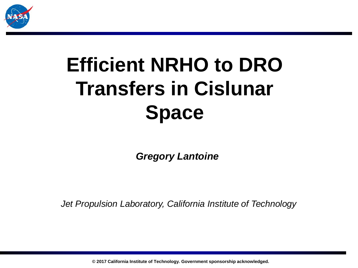

# **Efficient NRHO to DRO Transfers in Cislunar Space**

*Gregory Lantoine*

*Jet Propulsion Laboratory, California Institute of Technology*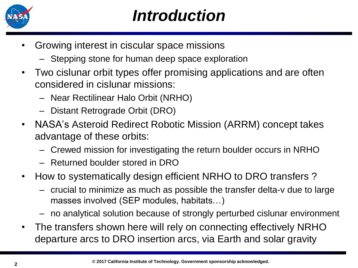

#### *Introduction*

- Growing interest in ciscular space missions
	- Stepping stone for human deep space exploration
- Two cislunar orbit types offer promising applications and are often considered in cislunar missions:
	- Near Rectilinear Halo Orbit (NRHO)
	- Distant Retrograde Orbit (DRO)
- NASA's Asteroid Redirect Robotic Mission (ARRM) concept takes advantage of these orbits:
	- Crewed mission for investigating the return boulder occurs in NRHO
	- Returned boulder stored in DRO
- How to systematically design efficient NRHO to DRO transfers ?
	- crucial to minimize as much as possible the transfer delta-v due to large masses involved (SEP modules, habitats…)
	- no analytical solution because of strongly perturbed cislunar environment
- The transfers shown here will rely on connecting effectively NRHO departure arcs to DRO insertion arcs, via Earth and solar gravity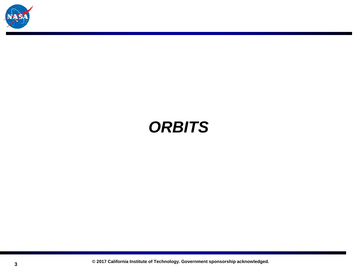

#### *ORBITS*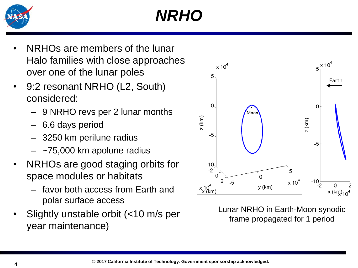

# *NRHO*

- NRHOs are members of the lunar Halo families with close approaches over one of the lunar poles
- 9:2 resonant NRHO (L2, South) considered:
	- 9 NRHO revs per 2 lunar months
	- 6.6 days period
	- 3250 km perilune radius
	- $-$  ~75,000 km apolune radius
- NRHOs are good staging orbits for space modules or habitats
	- favor both access from Earth and polar surface access
- Slightly unstable orbit (<10 m/s per year maintenance)



Lunar NRHO in Earth-Moon synodic frame propagated for 1 period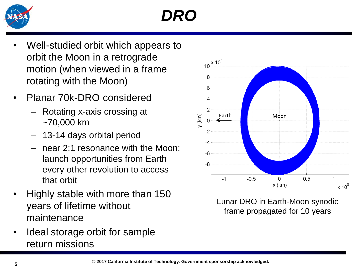

# *DRO*

- Well-studied orbit which appears to orbit the Moon in a retrograde motion (when viewed in a frame rotating with the Moon)
- Planar 70k-DRO considered
	- Rotating x-axis crossing at ~70,000 km
	- 13-14 days orbital period
	- near 2:1 resonance with the Moon: launch opportunities from Earth every other revolution to access that orbit
- Highly stable with more than 150 years of lifetime without maintenance
- Ideal storage orbit for sample return missions



Lunar DRO in Earth-Moon synodic frame propagated for 10 years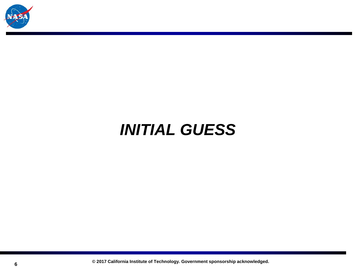

#### *INITIAL GUESS*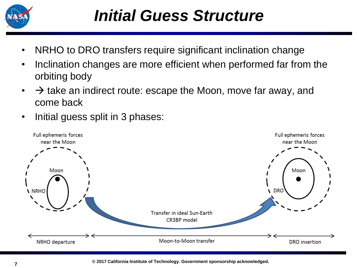

#### *Initial Guess Structure*

- NRHO to DRO transfers require significant inclination change
- Inclination changes are more efficient when performed far from the orbiting body
- $\bullet\quad \rightarrow$  take an indirect route: escape the Moon, move far away, and come back
- Initial guess split in 3 phases:

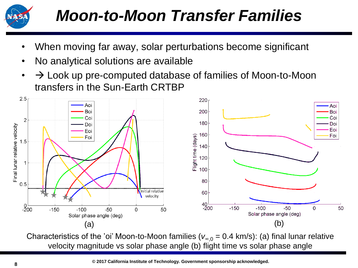

## *Moon-to-Moon Transfer Families*

- When moving far away, solar perturbations become significant
- No analytical solutions are available
- $\cdot$   $\rightarrow$  Look up pre-computed database of families of Moon-to-Moon transfers in the Sun-Earth CRTBP



Characteristics of the 'oi' Moon-to-Moon families ( $v_{\infty,0} = 0.4$  km/s): (a) final lunar relative velocity magnitude vs solar phase angle (b) flight time vs solar phase angle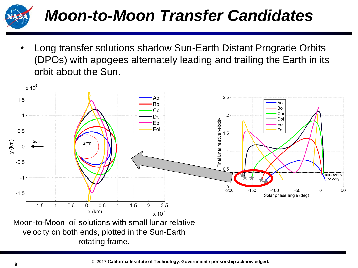

## *Moon-to-Moon Transfer Candidates*

• Long transfer solutions shadow Sun-Earth Distant Prograde Orbits (DPOs) with apogees alternately leading and trailing the Earth in its orbit about the Sun.



rotating frame.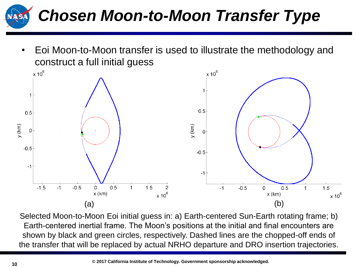

• Eoi Moon-to-Moon transfer is used to illustrate the methodology and construct a full initial guess



Selected Moon-to-Moon Eoi initial guess in: a) Earth-centered Sun-Earth rotating frame; b) Earth-centered inertial frame. The Moon's positions at the initial and final encounters are shown by black and green circles, respectively. Dashed lines are the chopped-off ends of the transfer that will be replaced by actual NRHO departure and DRO insertion trajectories.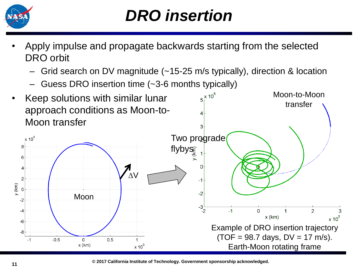

#### *DRO insertion*

- Apply impulse and propagate backwards starting from the selected DRO orbit
	- Grid search on DV magnitude (~15-25 m/s typically), direction & location
	- Guess DRO insertion time (~3-6 months typically)



**© 2017 California Institute of Technology. Government sponsorship acknowledged.**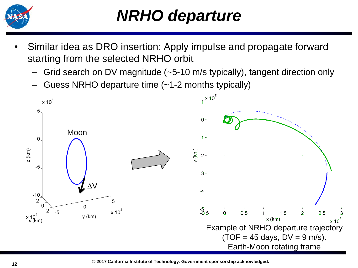

#### *NRHO departure*

- Similar idea as DRO insertion: Apply impulse and propagate forward starting from the selected NRHO orbit
	- Grid search on DV magnitude (~5-10 m/s typically), tangent direction only
	- Guess NRHO departure time (~1-2 months typically)

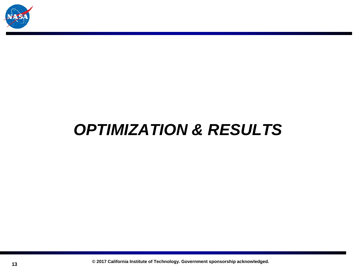

#### *OPTIMIZATION & RESULTS*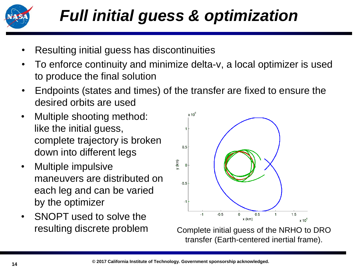

- Resulting initial guess has discontinuities
- To enforce continuity and minimize delta-v, a local optimizer is used to produce the final solution
- Endpoints (states and times) of the transfer are fixed to ensure the desired orbits are used
- Multiple shooting method: like the initial guess, complete trajectory is broken down into different legs
- Multiple impulsive maneuvers are distributed on each leg and can be varied by the optimizer
- SNOPT used to solve the resulting discrete problem



Complete initial guess of the NRHO to DRO transfer (Earth-centered inertial frame).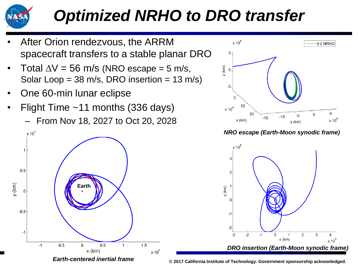

## *Optimized NRHO to DRO transfer*

- After Orion rendezvous, the ARRM spacecraft transfers to a stable planar DRO
- Total  $\Delta V = 56$  m/s (NRO escape = 5 m/s, Solar Loop =  $38 \text{ m/s}$ , DRO insertion =  $13 \text{ m/s}$ )
- One 60-min lunar eclipse
- Flight Time  $~11$  months (336 days)
	- From Nov 18, 2027 to Oct 20, 2028





*NRO escape (Earth-Moon synodic frame)*